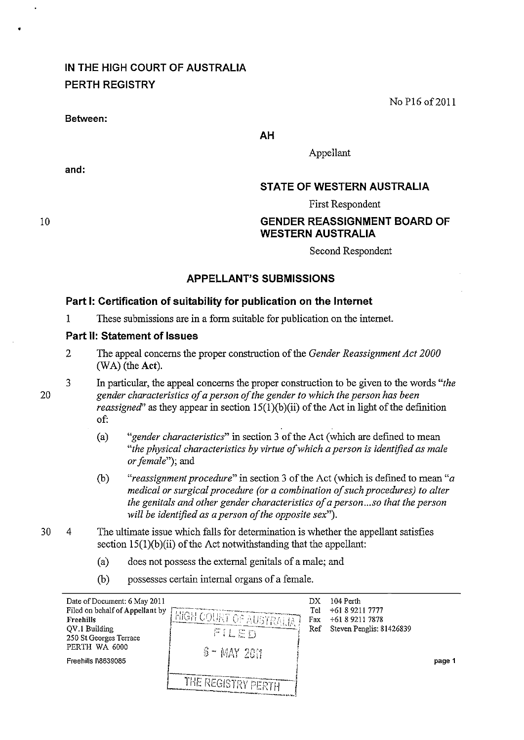# **IN THE HIGH COURT OF AUSTRALIA PERTH REGISTRY**

**Between:** 

•

No P16 of2011

page 1

**AH** 

Appellant

## **and:**

## **STATE OF WESTERN AUSTRALIA**

First Respondent

### **GENDER REASSIGNMENT BOARD OF WESTERN AUSTRALIA**

Second Respondent

### **APPELLANT'S SUBMISSIONS**

### **Part I: Certification of suitability for publication on the Internet**

1 These submissions are in a form suitable for publication on the internet.

#### **Part 11: Statement of Issues**

2 The appeal concerns the proper construction of the *Gender Reassignment Act 2000*  (WA) (the Act).

3 In particular, the appeal concerns the proper construction to be given to the words *"the gender characteristics of a person of the gender to which the person has been reassigned'* as they appear in section 15(1)(b)(ii) of the Act in light of the definition of:

- (a) *"gender characteristics"* in section 3 of the Act (which are defined to mean *"the physical characteristics by virtue of which a person is identified as male or female");* and
- (b) *"reassignment procedure"* in section 3 of the Act (which is defined to mean *"a medical or surgical procedure (or a combination of such procedures) to alter the genitals and other gender characteristics of a person ... so that the person will be identified as a person of the opposite sex").*
- 30 4 The ultimate issue which falls for determination is whether the appellant satisfies section  $15(1)(b)(ii)$  of the Act notwithstanding that the appellant:
	- (a) does not possess the external genitals of a male; and
	- (b) possesses certain internal organs of a female.

| Date of Document: 6 May 2011<br>Filed on behalf of Appellant by<br>Freehills<br>QV.1 Building<br>250 St Georges Terrace<br>PERTH WA 6000<br>Freehills I\8639085 | . HIGH COURT OF AUSTRALIA !<br>FILED<br>$6 - MAY 261$ | DX<br>Tel<br>Fax<br>Ref | 104 Perth<br>$+61892117777$<br>$+61892117878$<br>Steven Penglis: 81426839 |
|-----------------------------------------------------------------------------------------------------------------------------------------------------------------|-------------------------------------------------------|-------------------------|---------------------------------------------------------------------------|
|                                                                                                                                                                 | THE REGISTRY PERTH                                    |                         |                                                                           |

10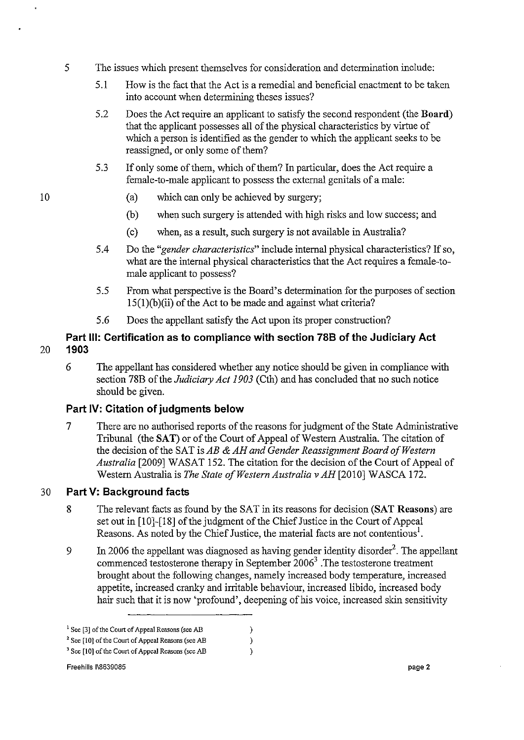- 5 The issues which present themselves for consideration and determination include:
	- 5.1 How is the fact that the Act is a remedial and beneficial enactment to be taken into account when determining theses issues?
	- 5.2 Does the Act require an applicant to satisfY the second respondent (the **Board)**  that the applicant possesses all of the physical characteristics by virtue of which a person is identified as the gender to which the applicant seeks to be reassigned, or only some of them?
	- 5.3 If only some of them, which of them? In particular, does the Act require a female-to-male applicant to possess the external genitals of a male:
		- (a) which can only be achieved by surgery;
		- (b) when such surgery is attended with high risks and low success; and
		- (c) when, as a result, such surgery is not available in Australia?
	- 5.4 Do the *"gender characteristics"* include internal physical characteristics? If so, what are the internal physical characteristics that the Act requires a female-tomale applicant to possess?
	- 5.5 From what perspective is the Board's determination for the purposes of section 15(1)(b)(ii) of the Act to be made and against what criteria?
	- 5.6 Does the appellant satisfy the Act upon its proper construction?

## **Part Ill: Certification as to compliance with section 78B of the Judiciary Act**  20 **1903**

6 The appellant has considered whether any notice should be given in compliance with section 78B of the *Judiciary Act 1903* (Cth) and has concluded that no such notice should be given.

## **Part IV: Citation of judgments below**

7 There are no authorised reports of the reasons for judgment of the State Administrative Tribunal (the **SAT)** or of the Court of Appeal of Western Australia. The citation of the decision of the SAT is *AB* & *AH and Gender Reassignment Board of Western Australia* [2009] WASAT 152. The citation for the decision of the Court of Appeal of Western Australia is *The State of Western Australia* v *AH* [2010] W ASCA 172.

## 30 **Part V: Background facts**

- 8 The relevant facts as found by the SAT in its reasons for decision **(SAT Reasons)** are set out in [10]-[18] of the judgment of the Chief Justice in the Court of Appeal Reasons. As noted by the Chief Justice, the material facts are not contentious<sup>1</sup>.
- 9 In 2006 the appellant was diagnosed as having gender identity disorder<sup>2</sup>. The appellant commenced testosterone therapy in September 20063 .The testosterone treatment brought about the following changes, namely increased body temperature, increased appetite, increased cranky and irritable behaviour, increased libido, increased body hair such that it is now 'profound', deepening of his voice, increased skin sensitivity

 $\mathcal{L}$  $\lambda$  $\lambda$ 

**<sup>I</sup>See [3] of the Court of Appeal Reasons (see AB** 

**<sup>2</sup> See [10]** of the **Court of Appeal Reasons (see AB** 

**<sup>3</sup> See [10]** of the **Court of Appeal Reasons (see AB**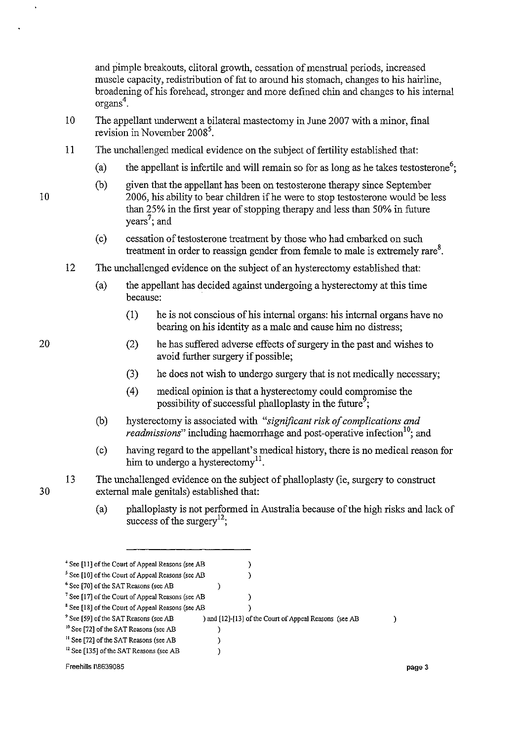and pimple breakouts, clitoral growth, cessation of menstrual periods, increased muscle capacity, redistribution of fat to around his stomach, changes to his hairline, broadening of his forehead, stronger and more defmed chin and changes to his internal organs 4 .

- 10 The appellant underwent a bilateral mastectomy in June 2007 with a minor, final revision in November 2008<sup>5</sup>.
- 11 The unchallenged medical evidence on the subject of fertility established that:
	- (a) the appellant is infertile and will remain so for as long as he takes testosterone<sup>6</sup>;
	- (b) given that the appellant has been on testosterone therapy since September 2006, his ability to bear children if he were to stop testosterone would be less than 25% in the first year of stopping therapy and less than 50% in future years<sup>7</sup>; and
		- (c) cessation of testosterone treatment by those who had embarked on such treatment in order to reassign gender from female to male is extremely rare<sup>8</sup>.
- 12 The unchallenged evidence on the subject of an hysterectomy established that:
	- (a) the appellant has decided against undergoing a hysterectomy at this time because: .
		- (1) he is not conscious of his internal organs: his internal organs have no bearing on his identity as a male and cause him no distress;
		- (2) he has suffered adverse effects of surgery in the past and wishes to avoid further surgery if possible;
		- (3) he does not wish to undergo surgery that is not medically necessary;
		- (4) medical opinion is that a hysterectomy could comrromise the possibility of successful phalloplasty in the future<sup>9</sup>;
	- (b) hysterectomy is associated with *"significant risk of complications and*  readmissions" including haemorrhage and post-operative infection<sup>10</sup>; and
	- (c) having regard to the appellant's medical history, there is no medical reason for him to undergo a hysterectomy<sup>11</sup>.
- 13 The unchallenged evidence on the subject of phalloplasty (ie, surgery to construct external male genitals) established that:
	- (a) phalloplasty is not performed in Australia because of the high risks and lack of success of the surgery<sup>12</sup>;

Freehills 1\8639085 **page 3** 

20

30

10

 $\lambda$ 

**<sup>.</sup>j. See [11]** of the **Court of Appeal Reasons (see AB**   $\lambda$ <sup>5</sup>**See [10]** of the **Court of Appeal Reasons (see AB**   $\lambda$ **6 See [70]** of the **SAT Reasons (see AB**   $\lambda$ **7 See [17]** of the **Court of Appeal Reasons (see AB**   $\lambda$ <sup>8</sup>**See [18]** of the **Court of Appeal Reasons (see AB**   $\lambda$ <sup>9</sup>**See [59]** of the **SAT Reasons (see AB ) and [12]-[13]** of the **Court of Appeal Reasons (see AB In See [72]** of the **SAT Reasons (see AB ) I1 See [72]** of the **SAT Reasons (see AB ) 12 See [135]** of the **SAT Reasons (see AB )**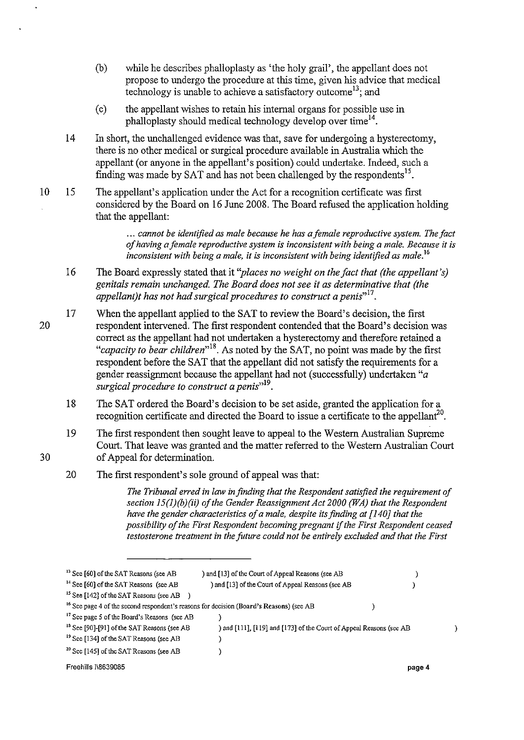- (b) while he describes phalloplasty as 'the holy grail', the appellant does not propose to undergo the procedure at this time, given his advice that medical technology is unable to achieve a satisfactory outcome<sup>13</sup>; and
- ( c) the appellant wishes to retain his internal organs for possible use in phalloplasty should medical technology develop over time<sup>14</sup>.
- 14 In short, the unchallenged evidence was that, save for undergoing a hysterectomy, there is no other medical or surgical procedure available in Australia which the appellant (or anyone in the appellant's position) could undertake. Indeed, such a finding was made by SAT and has not been challenged by the respondents<sup>15</sup>.
- 10 15 The appellant's application under the Act for a recognition certificate was first considered by the Board on 16 June 2008. The Board refused the application holding that the appellant:

... *cannot be identified as male because he has a female reproductive system. The fact of having a female reproductive system is inconsistent with being a male. Because it is inconsistent with being a male, it is inconsistent with being identified as male.<sup>16</sup>*

- 16 The Board expressly stated that it *"places no weight on the fact that (the appellant's) genitals remain unchanged. The Board does not see* it *as determinative that (the appellant)t has not had surgical procedures to construct a penis*<sup>11</sup>.
- 17 When the appellant applied to the SAT to review the Board's decision, the first respondent intervened. The first respondent contended that the Board's decision was correct as the appellant had not undertaken a hysterectomy and therefore retained a *"capacity to bear children,,18.* As noted by the SAT, no point was made by the first respondent before the SAT that the appellant did not satisfy the requirements for a gender reassignment because the appellant had not (successfully) undertaken *"a surgical procedure to construct a penis*<sup>19</sup>.
	- 18 The SAT ordered the Board's decision to be set aside, granted the application for a recognition certificate and directed the Board to issue a certificate to the appellant<sup>20</sup>.
	- 19 The first respondent then sought leave to appeal to the Western Australian Supreme Court. That leave was granted and the matter referred to the Western Australian Court of Appeal for determination.
	- 20 The first respondent's sole ground of appeal was that:

*The Tribunal erred* in *law* in *finding that the Respondent satisfied the requirement of section J5(J)(b)(ii) of the Gender Reassignment Act 2000 (WA) that the Respondent have the gender characteristics of a male, despite its finding at [140J that the possibility of the First Respondent becoming pregnant* if *the First Respondent ceased testosterone treatment* in *the future could not be entirely excluded and that the First* 

 $\mathcal{E}$ 

20

**II See [60]** of the **SAT Reasons (see AB ) and [13]** of the **Court of Appeal Reasons (see AB**  ) **\.; See [60]** of the **SAT Reasons (see AB ) and [13]** of the **Court of Appeal Reasons (see AB**   $\lambda$ **IS See [142]** of the **SAT Reasons (see AB 16 See page 4** of the **second respondent's reasons for decision (Board's Reasons) (see AB**   $\mathcal{E}$ **17 See page 5** of the **Board's Reasons (see AB**   $\mathcal{E}$ <sup>18</sup> See [90]-[91] of the SAT Reasons (see AB ) and [Ill], [119] and [173] of the Court of Appeal Reasons (see AB **19 See [134]** of the **SAT Reasons (see AB**  ) **21) See [145]** of the **SAT Reasons (see AB**   $\lambda$ Freehills I\8639085 **page 4**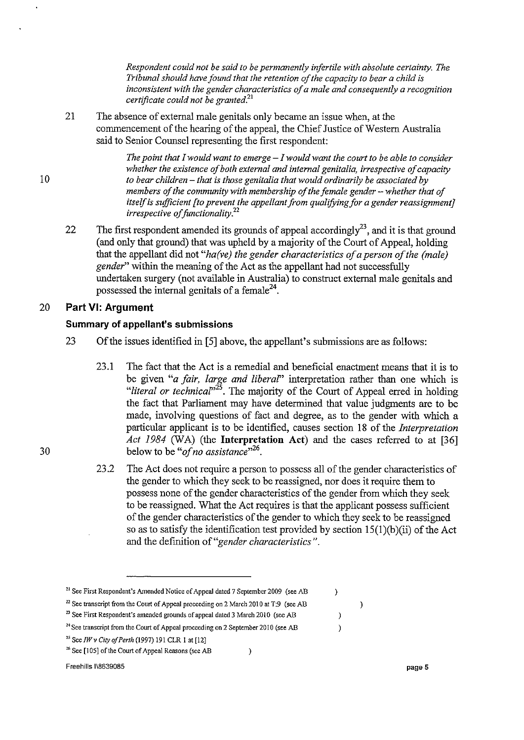*Respondent could not be said to be permanently infertile with absolute certainty. The Tribunal should have found that the retention of the capacity to bear a child is inconsistent with the gender characteristics of a male and consequently a recognition certificate could not be granted.'!* 

21 The absence of external male genitals only became an issue when, at the commencement of the hearing of the appeal, the Chief Justice of Western Australia said to Senior Counsel representing the first respondent:

> *The point that I would want to emerge* - *I would want the court to be able to consider whether the existence of both external and internal genitalia, irrespective of capacity to bear children* - *that is those genitalia that would ordinarily be associated by members of the community with membership of the female gender – whether that of itself is sufficient [to prevent the appellant from qualifying for a gender reassignment] irrespective of functionality.*<sup>22</sup>

22 The first respondent amended its grounds of appeal accordingly<sup>23</sup>, and it is that ground (and only that ground) that was upheld by a majority of the Court of Appeal, holding that the appellant did not *"ha(ve) the gender characteristics of a person of the (male) gender"* within the meaning of the Act as the appellant had not successfully undertaken surgery (not available in Australia) to construct external male genitals and possessed the internal genitals of a female<sup>24</sup>.

### 20 **Part VI: Argument**

#### **Summary of appellant's submissions**

- 23 Of the issues identified in [5] above, the appellant's submissions are as follows:
	- 23.1 The fact that the Act is a remedial and beneficial enactment means that it is to be given *"a fair, large and liberaf'* interpretation rather than one which is *"literal or technicar25.* The majority of the Court of Appeal erred in holding the fact that Parliament may have determined that value judgments are to be made, involving questions of fact and degree, as to the gender with which a particular applicant is to be identified, causes section 18 of the *Interpretation Act* 1984 (WA) (the **Interpretation** Act) and the cases referred to at [36] below to be "of no assistance"<sup>26</sup>.
	- 23.2 The Act does not require a person to possess all of the gender characteristics of the gender to which they seek to be reassigned, nor does it require them to possess none of the gender characteristics of the gender from which they seek to be reassigned. What the Act requires is that the applicant possess sufficient of the gender characteristics of the gender to which they seek to be reassigned so as to satisfy the identification test provided by section  $15(1)(b)(ii)$  of the Act and the definition of *"gender characteristics".*

 $\lambda$ 

 $\lambda$ 

 $\lambda$  $\lambda$   $\mathcal{L}$ 

**<sup>21</sup>See First Respondent's Amended Notice of Appeal dated 7 September 2009 (see AB** 

<sup>&</sup>lt;sup>22</sup> See transcript from the Court of Appeal proceeding on 2 March 2010 at T:9 (see AB

**<sup>23</sup> See First Respondent's amended grounds** of appeal **dated 3 March 2010 (see AB** 

**<sup>24</sup> See transcript from the Court of Appeal proceeding on 2 September 2010 (see AB** 

*<sup>&</sup>quot;SeeIWv CityojPerlh* (1997) !91 CLR 1 at [12)

<sup>26</sup>**See [105}** of the **Court of Appeal Reasons (see AB**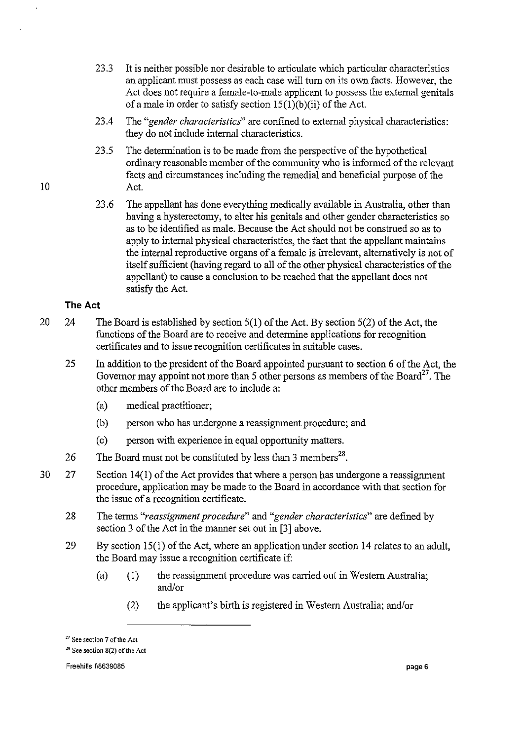- 23.3 It is neither possible nor desirable to articulate which particular characteristics an applicant must possess as each case will turn on its own facts. However, the Act does not require a female-to-male applicant to possess the external genitals of a male in order to satisfy section  $15(1)(b)(ii)$  of the Act.
- 23.4 The *"gender characteristics"* are confmed to external physical characteristics: they do not include internal characteristics.
- 23.5 The determination is to be made from the perspective of the hypothetical ordinary reasonable member of the community who is informed of the relevant facts and circumstances including the remedial and beneficial purpose of the Act.
- 23.6 The appellant has done everything medically available in Australia, other than having a hysterectomy, to alter his genitals and other gender characteristics so as to be identified as male. Because the Act should not be construed so as to apply to internal physical characteristics, the fact that the appellant maintains the internal reproductive organs of a female is irrelevant, alternatively is not of itself sufficient (having regard to all of the other physical characteristics of the appellant) to cause a conclusion to be reached that the appellant does not satisfy the Act.

### The Act

- 20 24 The Board is established by section 5(1) of the Act. By section 5(2) of the Act, the functions of the Board are to receive and determine applications for recognition certificates and to issue recognition certificates in suitable cases.
	- 25 In addition to the president of the Board appointed pursuant to section 6 of the Act, the Governor may appoint not more than 5 other persons as members of the Board<sup>27</sup>. The other members of the Board are to include a:
		- (a) medical practitioner;
		- (b) person who has undergone a reassignment procedure; and
		- (c) person with experience in equal opportunity matters.
	- 26 The Board must not be constituted by less than 3 members<sup>28</sup>.
- 30 27 Section 14(1) of the Act provides that where a person has undergone a reassignment procedure, application may be made to the Board in accordance with that section for the issue of a recognition certificate.
	- 28 The terms *"reassignment procedure"* and *"gender characteristics"* are defmed by section 3 of the Act in the manner set out in [3] above.
	- 29 By section 15(1) of the Act, where an application under section 14 relates to an adult, the Board may issue a recognition certificate if:
		- (a) (I) the reassignment procedure was carried out in Western Australia; and/or
			- (2) the applicant's birth is registered in Western Australia; and/or

**<sup>27</sup> See section 7** of the **Act** 

**<sup>28</sup> See section 8(2) of the Act**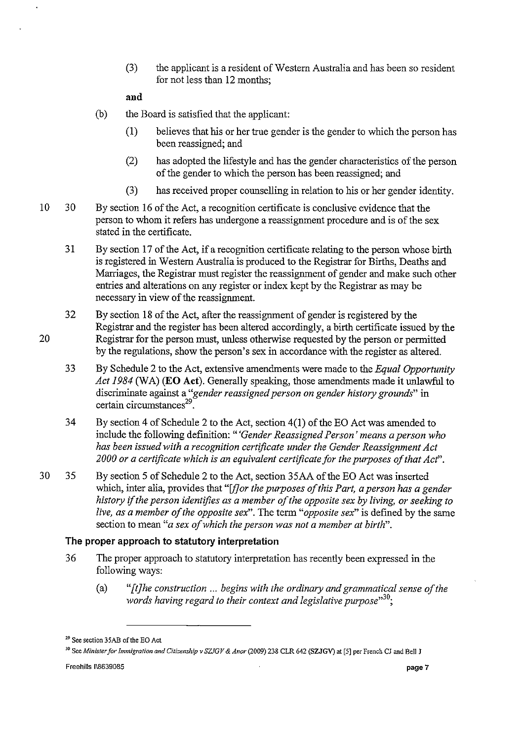(3) the applicant is a resident of Western Australia and has been so resident for not less than 12 months;

and

- (b) the Board is satisfied that the applicant:
	- (1) believes that his or her true gender is the gender to which the person has been reassigned; and
	- (2) has adopted the lifestyle and has the gender characteristics of the person of the gender to which the person has been reassigned; and
	- (3) has received proper counselling in relation to his or her gender identity.
- 10 30 By section 16 of the Act, a recognition certificate is conclusive evidence that the person to whom it refers has undergone a reassignment procedure and is of the sex stated in the certificate.
	- 31 By section 17 of the Act, if a recognition certificate relating to the person whose birth is registered in Western Australia is produced to the Registrar for Births, Deaths and Marriages, the Registrar must register the reassignment of gender and make such other entries and alterations on any register or index kept by the Registrar as may be necessary in view of the reassignment.
	- 32 By section 18 of the Act, after the reassignment of gender is registered by the Registrar and the register has been altered accordingly, a birth certificate issued by the Registrar for the person must, unless otherwise requested by the person or permitted by the regulations, show the person's sex in accordance with the register as altered.
		- 33 By Schedule 2 to the Act, extensive amendments were made to the *Equal Opportunity Act* 1984 (WA) (EO Act). Generally speaking, those amendments made it unlawful to discriminate against a *"gender reassigned person on gender history grounds"* in certain circumstances $^{29}$ .
		- 34 By section 4 of Schedule 2 to the Act, section 4(1) of the EO Act was amended to include the following definition: *"'Gender Reassigned Person' means a person who has been issued with a recognition certificate under the Gender Reassignment Act 2000 or a certificate which* is *an equivalent certificate for the purposes of that Ad'.*
- 30 35 By section 5 of Schedule 2 to the Act, section 35AA of the EO Act was inserted which, inter alia, provides that "[flor the purposes of this Part, a person has a gender *history* if *the person identifies as a member of the opposite sex by living, or seeking to live, as a member of the opposite sex".* The term *"opposite sex"* is defined by the same section to mean *"a sex of which the person was not a member at birth".*

#### The proper approach to statutory interpretation

- 36 The proper approach to statutory interpretation has recently been expressed in the following ways:
	- (a) *"[t]he construction* ... *begins with the ordinary and grammatical sense of the words having regard to their context and legislative purpose*<sup>30</sup>;

<sup>29</sup> See section 35AB of the EO Act

<sup>&</sup>lt;sup>30</sup> See *Minister for Immigration and Citizenship v SZJGV & Anor* (2009) 238 CLR 642 (SZJGV) at [5] per French CJ and Bell J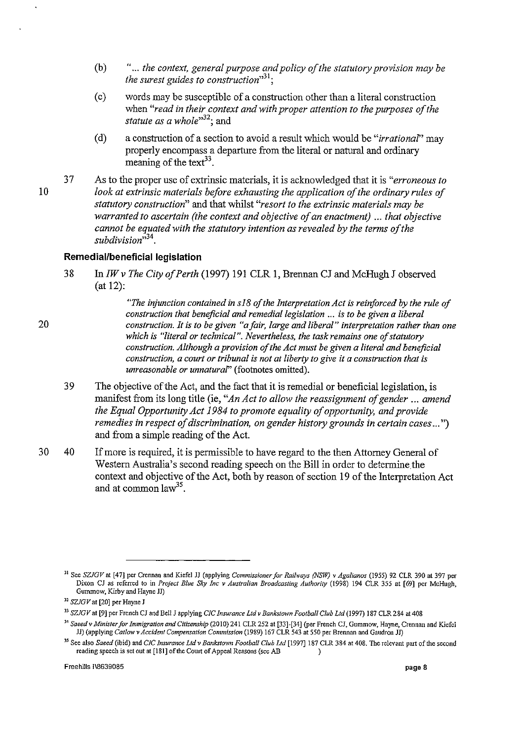- (b)  $\ldots$  the context, general purpose and policy of the statutory provision may be *the surest guides to construction*<sup>31</sup>:
- (c) words may be susceptible of a construction other than a literal construction when "read in their context and with proper attention to the purposes of the *statute as a whole*<sup>32</sup>; and
- (d) a construction of a section to avoid a result which would be *"irrational"* may properly encompass a departure from the literal or natural and ordinary meaning of the text<sup>33</sup>.
- 37 As to the proper use of extrinsic materials, it is acknowledged that it is *"erroneous to look at extrinsic materials before exhausting the application of the ordinary rules of statutory construction"* and that whilst *"resort to the extrinsic materials may be warranted to ascertain (the context and objective of an enactment) ... that objective cannot be equated with the statutory intention as revealed by the terms of the* subdivision<sup>334</sup>.

#### **Remedial/beneficial legislation**

38 In *IW v The City of Perth* (1997) 191 CLR 1, Brennan CJ and McHugh J observed (at 12):

20

10

*"The injunction contained in si8 of the Interpretation Act* is *reinforced by the rule of construction that beneficial and remedial legislation* ... is *to be given a liberal construction. It* is *to be given "afair, large and liberal" interpretation rather than one which* is *"literal or technical* ". *Nevertheless, the task remains one of statutory construction. Although a provision of the Act must be given a literal and beneficial construction, a court or tribunal* is *not at liberty to give it a construction that* is *unreasonable or unnaturaf'* (footnotes omitted).

- 39 The objective of the Act, and the fact that it is remedial or beneficial legislation, is manifest from its long title (ie, "An Act to allow the reassignment of gender ... amend *the Equal Opportunity Act 1984 to promote equality of opportunity, and provide remedies in respect of discrimination, on gender history grounds in certain cases...*") and from a simple reading of the Act.
- 30 40 If more is required, it is permissible to have regard to the then Attorney General of Western Australia's second reading speech on the Bill in order to determine the context and objective of the Act, both by reason of section 19 of the Interpretation Act and at common law<sup>35</sup>.

**<sup>1</sup>I See** *SZlGV* **at [47] per Crennan and Kiefel JJ (applying** *Commissioner for Railways (NSW)* **v** *Agalianos* **(1955) 92 CLR 390 at 397 per Dixon** *Cl* **as referred to in** *Project Blue Sky lnc* **v** *Australian Broadcasting Authority* **(1998) 194 CLR 355 at [69] per McHugh, Gummow, Kirby and Hayne JJ)** 

**<sup>12</sup>***SZJGVat* **[20] per Hayne J** 

n *SZJGVat* **[9] per French** *Cl* **and Bell J applying** *CIC Insurance* **Lld** *v Banks/own Football Club Lld* **(1997) 187 CLR 284 at 408** 

**l4** *Saeed'V Minister for Immigration and Citizenship* **(20ID) 241 CLR 252 at [33}-[34J (per French Cl, Gummow, Hayne, Crennan and Kiefel JJ) (applying** *Catlow* **v** *Accident Compensation Commission* **(1989) 167 CLR 543 at 550 per Brennan and Gaudron lJ)** 

**<sup>35</sup> See also** *Saeed* **(ibid) and** *CIC Insurance Lld* **v** *Bankstown Football Club Lld* **{1997] 187 CLR 384 at 408. The relevant part** of the **second reading speech is set out at [181}** of the **Court of Appeal Reasons (see AB )**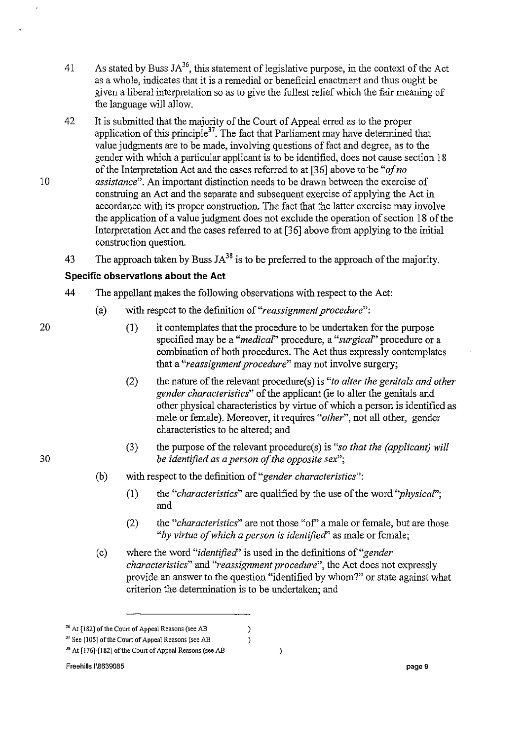- 41 As stated by Buss  $JA^{36}$ , this statement of legislative purpose, in the context of the Act as a whole, indicates that it is a remedial or beneficial enactment and thus ought be given a liberal interpretation so as to give the fullest relief which the fair meaning of the language will allow.
- 42 It is submitted that the majority of the Court of Appeal erred as to the proper application of this principle<sup>37</sup>. The fact that Parliament may have determined that value judgments are to be made, involving questions of fact and degree, as to the gender with which a particular applicant is to be identified, does not cause section 18 of the Interpretation Act and the cases referred to at [36] above to·be *"of no assistance".* An important distinction needs to be drawn between the exercise of construing an Act and the separate and subsequent exercise of applying the Act in accordance with its proper construction. The fact that the latter exercise may involve the application of a value judgment does not exclude the operation of section 18 of the Interpretation Act and the cases referred to at [36] above from applying to the initial construction question.
- 43 The approach taken by Buss  $JA^{38}$  is to be preferred to the approach of the majority.

### **Specific observations about the Act**

- 44 The appellant makes the following observations with respect to the Act:
	- (a) with respect to the definition of *"reassignment procedure":* 
		- (1) it contemplates that the procedure to be undertaken for the purpose specified may be a *"medicaf'* procedure, a *"surgicaT'* procedure or a combination of both procedures. The Act thus expressly contemplates that a *"reassignment procedure"* may not involve surgery;
		- (2) the nature of the relevant procedure(s) is *"to alter the genitals and other gender characteristics"* of the applicant (ie to alter the genitals and other physical characteristics by virtue of which a person is identified as male or female). Moreover, it requires *"other",* not all other, gender characteristics to be altered; and
		- (3) the purpose of the relevant procedure(s) is *"so that the (applicant) will be identified as a person of the opposite sex";*
	- (b) with respect to the definition of *"gender characteristics":* 
		- (1) the *"characteristics"* are qualified by the use of the word *"physical";*  and
		- (2) the *"characteristics"* are not those "of' a male or female, but are those *"by virtue of which a person* is *identified"* as male or female;
	- (c) where the word *"identified"* is used in the definitions of *"gender characteristics"* and *"reassignment procedure",* the Act does not expressly provide an answer to the question "identified by whom?" or state against what criterion the determination is to be undertaken; and

 $\lambda$ 

 $\lambda$ 

30

20

**<sup>36</sup> At [182]** of the **Court of Appeal Reasons (see AB** 

**<sup>37</sup> See [1051** of the **Court of Appeal Reasons (see AB**   $\lambda$ 

**<sup>3</sup>S At [176]-[182]** of the **Court of Appeal Reasons (see AB**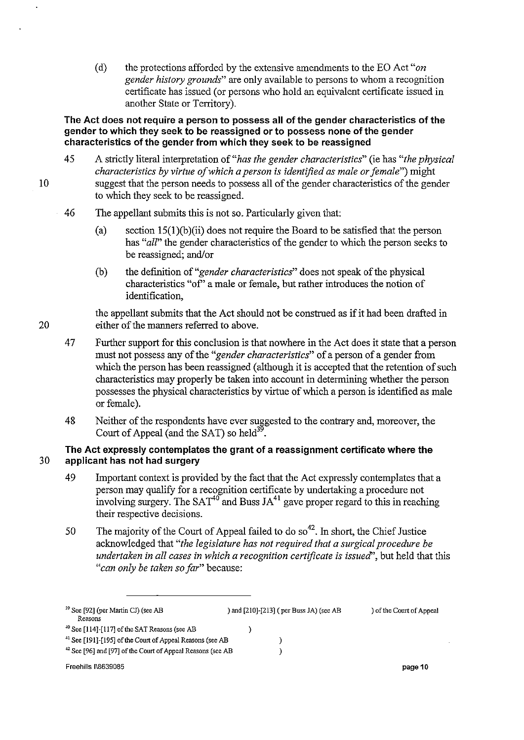(d) the protections afforded by the extensive amendments to the EO Act *"on gender history grounds"* are only available to persons to whom a recognition certificate has issued (or persons who hold an equivalent certificate issued in another State or Territory).

#### **The Act does not require a person to possess all of the gender characteristics of the gender to which they seek to be reassigned or to possess none of the gender characteristics of the gender from which they seek to be reassigned**

- 45 A strictly literal interpretation of *"has the gender characteristics"* (ie has *"the physical characteristics by virtue of which a person is identified as male or female")* might suggest that the person needs to possess all of the gender characteristics of the gender to which they seek to be reassigned.
- 46 The appellant submits this is not so. Particularly given that:
	- (a) section  $15(1)(b)(ii)$  does not require the Board to be satisfied that the person has "*all*" the gender characteristics of the gender to which the person seeks to be reassigned; and/or
	- (b) the definition of *"gender characteristics"* does not speak of the physical characteristics "of' a male or female, but rather introduces the notion of identification,

the appellant submits that the Act should not be construed as if it had been drafted in either of the manners referred to above.

- 47 Further support for this conclusion is that nowhere in the Act does it state that a person must not possess any of the *"gender characteristics"* of a person of a gender from which the person has been reassigned (although it is accepted that the retention of such characteristics may properly be taken into account in determining whether the person possesses the physical characteristics by virtue of which a person is identified as male or female).
- 48 Neither of the respondents have ever suggested to the contrary and, moreover, the Court of Appeal (and the SAT) so held<sup>39</sup>.

### **The Act expressly contemplates the grant of a reassignment certificate where the**  30 **applicant has not had surgery**

- 49 Important context is provided by the fact that the Act expressly contemplates that a person may qualify for a recognition certificate by undertaking a procedure not involving surgery. The  $SAT^{40}$  and Buss  $JA^{41}$  gave proper regard to this in reaching their respective decisions.
- 50 The majority of the Court of Appeal failed to do  $\text{so}^{42}$ . In short, the Chief Justice acknowledged that *"the legislature has not required that a surgical procedure be undertaken in all cases in which a recognition certificate is issued",* but held that this *"can only be taken so far"* because:

| <sup>39</sup> See [92] (per Martin CJ) (see AB<br>Reasons              | ) and [210]-[213] (per Buss JA) (see AB | of the Court of Appeal |
|------------------------------------------------------------------------|-----------------------------------------|------------------------|
| $40$ See [114]-[117] of the SAT Reasons (see AB                        |                                         |                        |
| <sup>41</sup> See [191]-[195] of the Court of Appeal Reasons (see AB   |                                         |                        |
| <sup>42</sup> See [96] and [97] of the Court of Appeal Reasons (see AB |                                         |                        |
| <b>Freehills I\8639085</b>                                             |                                         | page 10                |

20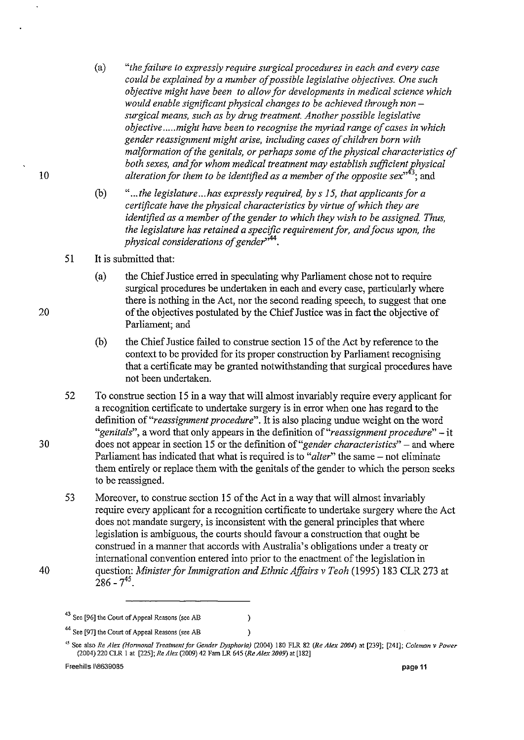- (a) *"the failure to expressly require surgical procedures in each and every case could be explained by a number of possible legislative objectives. One such objective might have been to allow for developments in medical science which would enable significant physical changes to be achieved through non surgical means, such as by drug treatment. Another possible legislative objective ..... might have been to recognise the myriad range of cases in which gender reassignment might arise, including cases of children born with malformation of the genitals, or perhaps some of the physical characteristics of*  both sexes, and for whom medical treatment may establish sufficient physical *alteration for them to be identified as a member of the opposite sex*<sup>33</sup>; and
- (b) " ... *the legislature* ... *has expressly required, by* s 15, *that applicants for a certificate have the physical characteristics by virtue of which they are identified as a member of the gender to which they wish to be assigned. Thus, the legislature has retained a specific requirement for, and focus upon, the physical considerations of gender',44.*
- 51 It is submitted that:
	- (a) the Chief Justice erred in speculating why Parliament chose not to require surgical procedures be undertaken in each and every case, particularly where there is nothing in the Act, nor the second reading speech, to suggest that one of the objectives postulated by the Chief Justice was in fact the objective of Parliament; and
	- (b) the Chief Justice failed to construe section 15 of the Act by reference to the context to be provided for its proper construction by Parliament recognising that a certificate may be granted notwithstanding that surgical procedures have not been undertaken.
- 52 To construe section 15 in a way that will almost invariably require every applicant for a recognition certificate to undertake surgery is in error when one has regard to the definition of *"reassignment procedure".* It is also placing undue weight on the word *"genitals",* a word that only appears in the definition of *"reassignment procedure"* - it does not appear in section 15 or the definition of *"gender characteristics"* - and where Parliament has indicated that what is required is to "*alter*" the same – not eliminate them entirely or replace them with the genitals of the gender to which the person seeks to be reassigned.
- 53 Moreover, to construe section 15 of the Act in a way that will almost invariably require every applicant for a recognition certificate to undertake surgery where the Act does not mandate surgery, is inconsistent with the general principles that where legislation is ambiguous, the courts should favour a construction that ought be construed in a manner that accords with Australia's obligations under a treaty or international convention entered into prior to the enactment of the legislation in question: *Minister for Immigration and Ethnic Affairs* v *Teoh* (1995) 183 CLR 273 at  $286 - 7^{45}$

**44 See [97] the Court of Appeal Reasons (see AB** 

 $\lambda$  $\lambda$ 

20

10

30

**<sup>43</sup> See [96] the Court of Appeal Reasons (see AB** 

**<sup>45</sup> See also** *Re Alex (Honnonal Treatment/or Gender Dysphoria)* **(2004) 180 FLR 82** *(Re Alex 2004)* **at [239]; [241];** *Coleman* **v** *Pawer*  (2004) 220 CLR 1 at [225]; *Re Alex* (2009) 42 Faro LR 645 *(Re Alex 2009)* at [182]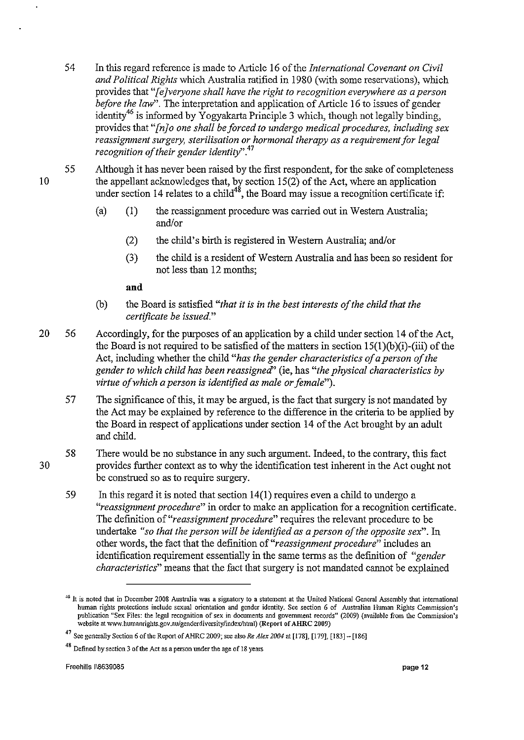- 54 In this regard reference is made to Article 16 of the *International Covenant on Civil and Political Rights* which Australia ratified in 1980 (with some reservations), which provides that *"[eJveryone shall have the right to recognition everywhere as a person before the law".* The interpretation and application of Article 16 to issues of gender identity<sup>46</sup> is informed by Yogyakarta Principle 3 which, though not legally binding, provides that "[n]o one shall be forced to undergo medical procedures, including sex *reassignment surgery, sterilisation or hormonal therapy as a requirement for legal recognition of their gender identity".47*
- 55 Although it has never been raised by the first respondent, for the sake of completeness the appellant acknowledges that, by section  $15(2)$  of the Act, where an application under section 14 relates to a child<sup>48</sup>, the Board may issue a recognition certificate if:
	- (a) (1) the reassignment procedure was carried out in Western Australia; and/or
		- (2) the child's birth is registered in Western Australia; and/or
		- (3) the child is a resident of Western Australia and has been so resident for not less than 12 months;

**and** 

10

- (b) the Board is satisfied *"that* it *is in the best interests of the child that the certificate be issued."*
- 20 56 Accordingly, for the purposes of an application by a child under section 14 of the Act, the Board is not required to be satisfied of the matters in section  $15(1)(b)(i)$ -(iii) of the Act, including whether the child *"has the gender characteristics of a person of the gender to which child has been reassignecf'* (ie, has *"the physical characteristics by virtue of which a person* is *identified as male or female").* 
	- 57 The significance of this, it may be argued, is the fact that surgery is not mandated by the Act may be explained by reference to the difference in the criteria to be applied by the Board in respect of applications under section 14 of the Act brought by an adult and child.
	- 58 There would be no substance in any such argument. Indeed, to the contrary, this fact provides further context as to why the identification test inherent in the Act ought not be construed so as to require surgery.
		- 59 In this regard it is noted that section 14(1) requires even a child to undergo a *"reassignment procedure"* in order to make an application for a recognition certificate. The definition of *"reassignment procedure"* requires the relevant procedure to be undertake "so that the person will be identified as a person of the opposite sex". In other words, the fact that the definition of *"reassignment procedure"* includes an identification requirement essentially in the same terms as the definition of *"gender characteristics"* means that the fact that surgery is not mandated cannot be explained

<sup>&</sup>lt;sup>46</sup> It is noted that in December 2008 Australia was a signatory to a statement at the United National General Assembly that international **human rights protections include sexual orientation and gender identity. See section 6 of AustraJian Human Rights Commission's publication "Sex Files: the legal recognition of sex in documents and government records" (2009) (available from the Commission's**  website at www.humanrights.gov.au/genderdiversity/index/html) (Report of AHRC 2009)

**<sup>47</sup> See generally Section 6** of the **Report of AHRC 2009; see also** *Re Alex 2004* **at [178], [179], [183] - [186]** 

**<sup>48</sup> Defined by section 3** of the **Act as a person** under the **age of 18 years**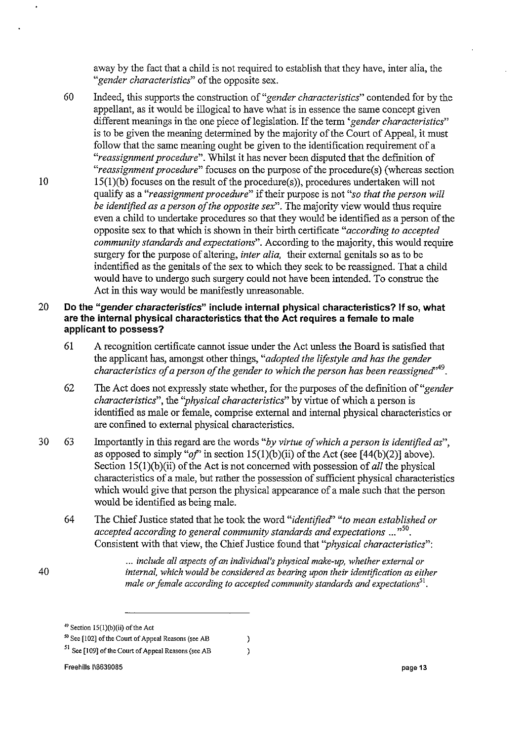away by the fact that a child is not required to establish that they have, inter alia, the *"gender characteristics"* of the opposite sex.

- 60 Indeed, this supports the construction of *"gender characteristics"* contended for by the appellant, as it would be illogical to have what is in essence the same concept given different meanings in the one piece of legislation. If the term *'gender characteristics*" is to be given the meaning determined by the majority of the Court of Appeal, it must follow that the same meaning ought be given to the identification requirement of a *"reassignment procedure".* Whilst it has never been disputed that the definition of *"reassignment procedure"* focuses on the purpose of the procedure(s) (whereas section l5(1)(b) focuses on the result of the procedure(s)), procedures undertaken will not qualify as a *"reassignment procedure"* if their purpose is not *"so that the person will be identified as a person of the opposite sex".* The majority view would thus require even a child to undertake procedures so that they would be identified as a person of the opposite sex to that which is shown in their birth certificate *"according to accepted community standards and expectations".* According to the majority, this would require surgery for the purpose of altering, *inter alia,* their external genitals so as to be indentified as the genitals of the sex to which they seek to be reassigned. That a child would have to undergo such surgery could not have been intended. To construe the Act in this way would be manifestly unreasonable.
- 20 **Do the "gender characteristics" include internal physical characteristics? If so, what are the internal physical characteristics that the Act requires a female to male applicant to possess?** 
	- 61 A recognition certificate cannot issue under the Act unless the Board is satisfied that the applicant has, amongst other things, *"adopted the lifestyle and has the gender characteristics of a person of the gender to which the person has been reassigned*<sup>,49</sup>.
	- 62 The Act does not expressly state whether, for the purposes of the definition of *"gender characteristics",* the *"physical characteristics"* by virtue of which a person is identified as male or female, comprise external and internal physical characteristics or are confined to external physical characteristics.
- 30 63 Importantly in this regard are the words *"by virtue of which a person is identified as",*  as opposed to simply " $of$ " in section 15(1)(b)(ii) of the Act (see [44(b)(2)] above). Section l5(1)(b)(ii) of the Act is not concerned with possession of *all* the physical characteristics of a male, but rather the possession of sufficient physical characteristics which would give that person the physical appearance of a male such that the person would be identified as being male.
	- 64 The Chief Justice stated that he took the word *"identified" "to mean established or accepted according to general community standards and expectations* ... ,,50. Consistent with that view, the Chief Justice found that *"physical characteristics";*

 $\lambda$  $\lambda$ 

... *include all aspects of an individual's physical make-up, whether external or internal, which would be considered as bearing upon their identification as either male or female according to accepted community standards and expectations'] .* 

 $49$  Section 15(1)(b)(ii) of the Act

**so See [102]** of the **Court of Appeal Reasons (see AB** 

**<sup>51</sup> See [109]** of the **Court of Appeal Reasons (see AB**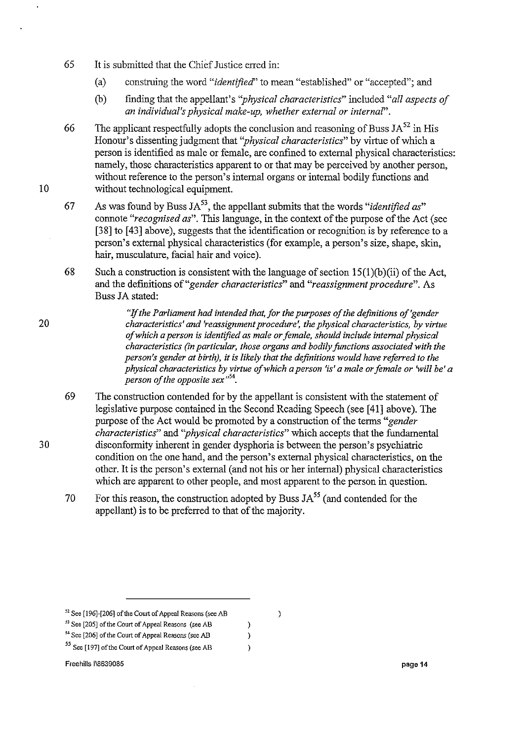- 65 It is submitted that the Chief Justice erred in:
	- (a) construing the word *"identified"* to mean "established" or "accepted"; and
	- (b) fInding that the appellant's *"physical characteristics"* included *"all aspects of an individual's physical make-up, whether external or internaf'.*
- 66 The applicant respectfully adopts the conclusion and reasoning of Buss  $JA^{52}$  in His Honour's dissenting judgment that *"physical characteristics"* by virtue of which a person is identified as male or female, are confined to external physical characteristics: namely, those characteristics apparent to or that may be perceived by another person, without reference to the person's internal organs or internal bodily functions and without technological equipment.

67 As was found by Buss JA<sup>53</sup>, the appellant submits that the words "*identified as*" connote *"recognised as".* This language, in the context of the purpose of the Act (see [38] to [43] above), suggests that the identification or recognition is by reference to a person's external physical characteristics (for example, a person's size, shape, skin, hair, musculature, facial hair and voice).

68 Such a construction is consistent with the language of section  $15(1)(b)(ii)$  of the Act, and the defInitions of *"gender characteristics"* and *"reassignment procedure".* As Buss JA stated:

> "If the Parliament had intended that, for the purposes of the definitions of 'gender *characteristics' and 'reassignment procedure', the physical characteristics, by virtue of which a person* is *identified as male or female, should include internal physical characteristics (in particular, those organs and bodily functions associated with the person's gender at birth),* it is *likely that the definitions would have referred to the physical characteristics by virtue of which a person 'is' a male or female or 'will be' a person of the opposite sex*<sup>154</sup>.

- 69 The construction contended for by the appellant is consistent with the statement of legislative purpose contained in the Second Reading Speech (see **[41 ]** above). The purpose of the Act would be promoted by a construction of the terms "*gender characteristics"* and *"physical characteristics"* which accepts that the fundamental disconformity inherent in gender dysphoria is between the person's psychiatric condition on the one hand, and the person's external physical characteristics, on the other. It is the person's external (and not his or her internal) physical characteristics which are apparent to other people, and most apparent to the person in question.
- 70 For this reason, the construction adopted by Buss  $JA<sup>55</sup>$  (and contended for the appellant) is to be preferred to that of the majority.

 $\lambda$ 

 $\lambda$ 

- **53 See [205]** of the **Court of Appeal Reasons (see AB**
- **54 See [206]** of the **Court of Appeal Reasons (see AB**   $\lambda$  $\overline{)}$
- **ss See [197]** of the **Court of Appeal Reasons (see AB**
- Freehills 118639085 page **14**

30

20

**<sup>52</sup> See [196]-[206]** of the **Court of Appeal Reasons (see AB**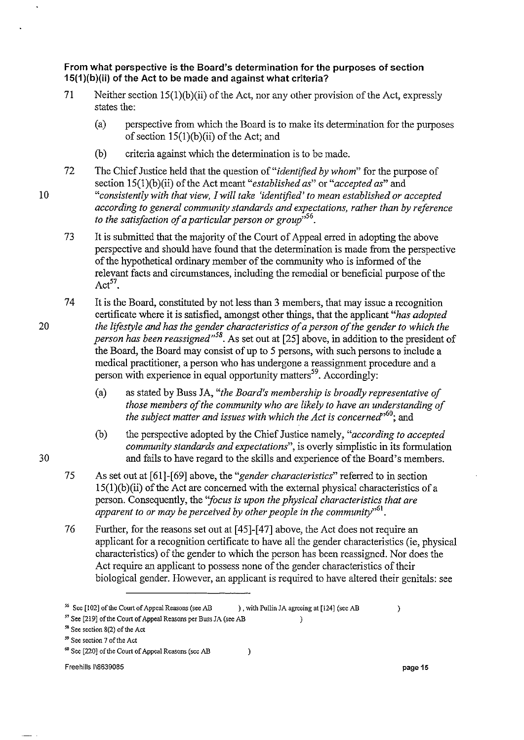**From what perspective is the Board's determination for the purposes of section 1S(1)(b)(ii) ofthe Actto be made and against what criteria?** 

- 71 Neither section 15(1)(b)(ii) of the Act, nor any other provision of the Act, expressly states the:
	- (a) perspective from which the Board is to make its determination for the purposes of section 15(1)(b)(ii) of the Act; and
	- (b) criteria against which the determination is to be made.
- 72 The Chief Justice held that the question of *"identified by whom"* for the purpose of section 15(1)(b)(ii) of the Act meant *"established as"* or *"accepted as"* and *"consistently with that view, I will take 'identified'to mean established or accepted according to general community standards and expectations, rather than by reference to the satisfaction of a particular person or group"S6.*
- 73 It is submitted that the majority of the Court of Appeal erred in adopting the above perspective and should have found that the determination is made from the perspective of the hypothetical ordinary member of the community who is informed of the relevant facts and circumstances, including the remedial or beneficial purpose of the  $Act^{57}$ .
- 74 It is the Board, constituted by not less than 3 members, that may issue a recognition certificate where it is satisfied, amongst other things, that the applicant *"has adopted the lifestyle and has the gender characteristics of a person of the gender to which the person has been reassigned*<sup>58</sup>. As set out at [25] above, in addition to the president of the Board, the Board may consist of up to 5 persons, with such persons to include a medical practitioner, a person who has undergone a reassignment procedure and a person with experience in equal opportunity matters<sup>59</sup>. Accordingly:
	- (a) as stated by Buss JA, *"the Board's membership is broadly representative of those members of the community who are likely to have an understanding of the subject matter and issues with which the Act is concerned*<sup> $,60$ </sup>; and
	- (b) the perspective adopted by the Chief Justice namely, *"according to accepted community standards and expectations",* is overly simplistic in its formulation and fails to have regard to the skills and experience of the Board's members.
	- 75 As set out at [61]-[69] above, the *"gender characteristics"* referred to in section  $15(1)(b)(ii)$  of the Act are concerned with the external physical characteristics of a person. Consequently, the *"focus is upon the physical characteristics that are apparent to or may be perceived by other people in the community*<sup> $,61$ </sup>.
	- 76 Further, for the reasons set out at [45]-[47] above, the Act does not require an applicant for a recognition certificate to have all the gender characteristics (ie, physical characteristics) of the gender to which the person has been reassigned. Nor does the Act require an applicant to possess none of the gender characteristics of their biological gender. However, an applicant is required to have altered their genitals: see

 $\lambda$ 

 $\lambda$ 

Freehills 1\8639085 **page 15** 

 $\mathcal{E}$ 

30

20

<sup>56</sup>**See [102]** of the **Court of Appeal Reasons (see AB ) , with Pullin** *lA* **agreeing at [124J (see AB** 

**<sup>57</sup> See [2191** of the **Court of Appeal Reasons per Buss** *lA* **(see AB** 

**<sup>58</sup> See section 8(2)** of the **Act** 

**<sup>59</sup> See section 7** of the **Act** 

**<sup>60</sup> See [220]** of the **Court of Appeal Reasons (see AB**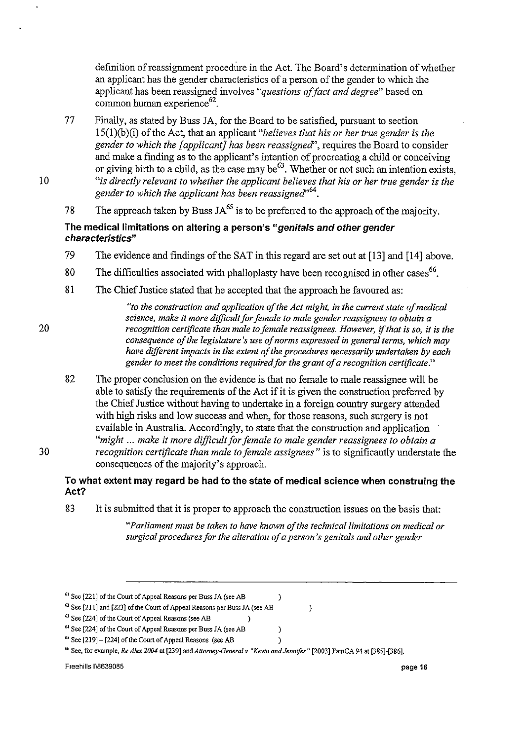definition of reassignment procedure in the Act. The Board's determination of whether an applicant has the gender characteristics of a person of the gender to which the applicant has been reassigned involves *"questions of fact and degree"* based on common human experience $62$ .

- 77 Finally, as stated by Buss JA, for the Board to be satisfied, pursuant to section 15(l)(b)(i) of the Act, that an applicant *"believes that his or her true gender is the gender to which the [applicant] has been reassigned",* requires the Board to consider and make a finding as to the applicant's intention of procreating a child or conceiving or giving birth to a child, as the case may be  $63$ . Whether or not such an intention exists, *"is directly relevant to whether the applicant believes that his or her true gender is the*  gender to which the applicant has been reassigned<sup>764</sup>.
- 78 The approach taken by Buss JA<sup>65</sup> is to be preferred to the approach of the majority.

#### The medical limitations on altering a person's "genitals and other gender characteristics"

- 79 The evidence and fmdings of the SAT in this regard are set out at [13] and [14] above.
- 80 The difficulties associated with phalloplasty have been recognised in other cases<sup>66</sup>.
- 81 The Chief Justice stated that he accepted that the approach he favoured as:
- 20

10

*"to the construction and application of the Act might, in the current state of medical science, make it more difficult for female to male gender reassignees to obtain a recognition certificate than male to female reassignees. However,* if *that is so, it is the consequence of the legislature's use of norms expressed in general terms, which may have different impacts in the extent of the procedures necessarily undertaken by each*  gender to meet the conditions required for the grant of a recognition certificate."

82 The proper conclusion on the evidence is that no female to male reassignee will be able to satisfy the requirements of the Act if it is given the construction preferred by the Chief Justice without having to undertake in a foreign country surgery attended with high risks and low success and when, for those reasons, such surgery is not available in Australia. Accordingly, to state that the construction and application *"might* ... *make* it *more difficult for female to male gender reassignees to obtain a 30 recognition certificate than male to female assignees"* is to significantly understate the consequences of the majority's approach.

### To what extent may regard be had to the state of medical science when construing the Act?

83 It is submitted that it is proper to approach the construction issues on the basis that:

*"Parliament must be taken to have known of the technical limitations on medical or surgical procedures for the alteration of a person's genitals and other gender* 

 $\mathcal{E}$ 

 $\mathcal{E}$  $\lambda$   $\lambda$ 

- 63 See [224] of the Court of Appeal Reasons (see AB
- <sup>64</sup> See [224] of the Court of Appeal Reasons per Buss JA (see AB
- $65$  See [219] [224] of the Court of Appeal Reasons (see AB

 $\mathcal{L}$ 

<sup>6)</sup> See [221] of the Court of Appeal Reasons per Buss *lA* (see AB

<sup>62</sup> See [211] and [223J of the Court of Appeal Reasons per Buss *lA* (see AB

<sup>66</sup> See, for example, *Re Alex 2004* at [239] and *Attorney-General v "Kevin and Jennifer"* [2003] FamCA 94 at [385]-[386].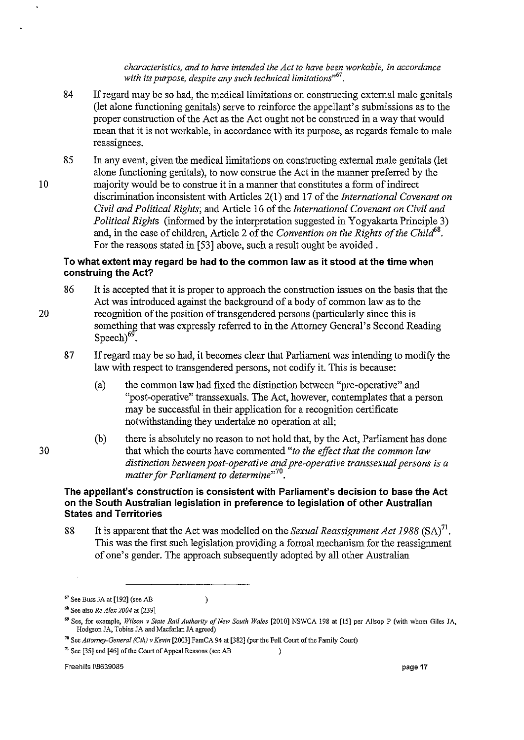*characteristics, and to have intended the Act to have been workable, in accordance*  with its purpose, despite any such technical limitations"<sup>67</sup>.

- 84 If regard may be so had, the medical limitations on constructing external male genitals (let alone functioning genitals) serve to reinforce the appellant's submissions as to the proper construction of the Act as the Act ought not be construed in a way that would mean that it is not workable, in accordance with its purpose, as regards female to male reasslgnees.
- 85 In any event, given the medical limitations on constructing external male genitals (let alone functioning genitals), to now construe the Act in the manner preferred by the majority would be to construe it in a manner that constitutes a form of indirect discrimination inconsistent with Articles 2(1) and 17 of the *International Covenant on Civil and Political Rights;* and Article 16 of the *International Covenant on Civil and Political Rights* (informed by the interpretation suggested in Yogyakarta Principle 3) and, in the case of children, Article 2 of the *Convention on the Rights of the Child*<sup>68</sup>. For the reasons stated in [53] above, such a result ought be avoided.

#### **To what extent may regard be had to the common** law as **it stood at the time when construing the Act?**

- 86 It is accepted that it is proper to approach the construction issues on the basis that the Act was introduced against the background of a body of common law as to the recognition of the position of transgendered persons (particularly since this is something that was expressly referred to in the Attorney General's Second Reading Speech $)$ <sup>69</sup>.
- 87 If regard may be so had, it becomes clear that Parliament was intending to modify the law with respect to transgendered persons, not codify it. This is because:
	- (a) the common law had fixed the distinction between "pre-operative" and "post-operative" transsexuals. The Act, however, contemplates that a person may be successful in their application for a recognition certificate notwithstanding they undertake no operation at all;
- (b) there is absolutely no reason to not hold that, by the Act, Parliament has done 30 that which the courts have commented *"to the effect that the common law distinction between post-operative and pre-operative transsexual persons is a matter for Parliament to determine"?o.*

#### **The appellant's construction is consistent with Parliament's decision to base the Act on the South Australian legislation in preference to legislation of other Australian States and Territories**

88 It is apparent that the Act was modelled on the *Sexual Reassignment Act* 1988 (SA)?!. This was the first such legislation providing a formal mechanism for the reassignment of one's gender. The approach subsequently adopted by all other Australian

 $\mathcal{L}$ 

10

**<sup>67</sup> See Buss** *lA* **at [192] (see AB** 

**<sup>68</sup> See also** *Re A/ex 2004* **at [239)** 

<sup>&</sup>lt;sup>69</sup> See, for example, *Wilson v State Rail Authority of New South Wales* [2010] NSWCA 198 at [15] per Allsop P (with whom Giles JA, **Hodgson JA, Tobias** *lA* **and Macfarlan** *lA* **agreed)** 

**<sup>70</sup> See** *Attorney-General (Cth)* **v** *Kevin* **[2003] FamCA 94 at [382] (per the Full Court** of the **Family Court)** 

**<sup>71</sup>See [35J and [46]** of the **Court of Appeal Reasons (see AB )**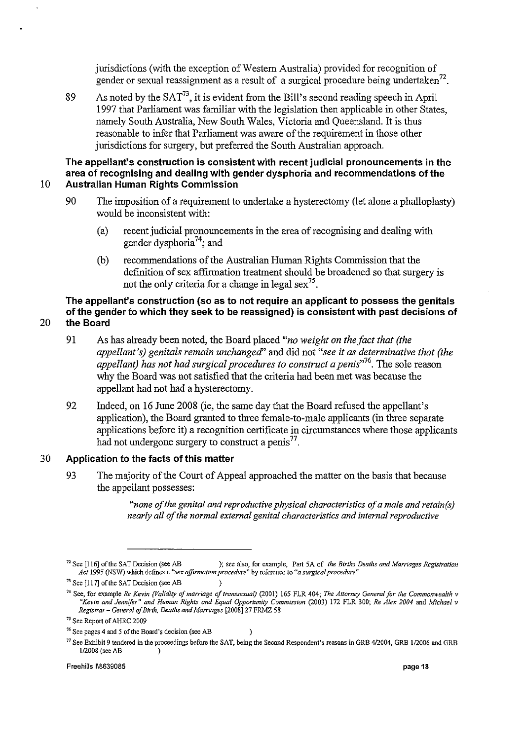jurisdictions (with the exception of Western Australia) provided for recognition of gender or sexual reassignment as a result of a surgical procedure being undertaken<sup>72</sup>.

89 As noted by the  $SAT^{73}$ , it is evident from the Bill's second reading speech in April 1997 that Parliament was familiar with the legislation then applicable in other States, namely South Australia, New South Wales, Victoria and Queensland. It is thus reasonable to infer that Parliament was aware of the requirement in those other jurisdictions for surgery, but preferred the South Australian approach.

**The appellant's construction is consistent with recent judicial pronouncements in the area of recognising and dealing with gender dysphoria and recommendations of the**  10 **Australian Human Rights Commission** 

- 90 The imposition of a requirement to undertake a hysterectomy (let alone a phalloplasty) would be inconsistent with:
	- (a) recent judicial pronouncements in the area of recognising and dealing with gender dysphoria<sup>74</sup>; and
	- (b) recommendations of the Australian Human Rights Commission that the definition of sex affirmation treatment should be broadened so that surgery is not the only criteria for a change **in** legal sex 75 .

**The appellant's construction (so as to not require an applicant to possess the genitals of the gender to which they seek to be reassigned) is consistent with past decisions of**  20 **the Board** 

- 91 As has already been noted, the Board placed *"no weight on the fact that (the appellant's) genitals remain unchanged"* and did not *"see it as determinative that (the appellant) has not had surgical procedures to construct a penis*<sup>76</sup>. The sole reason why the Board was not satisfied that the criteria had been met was because the appellant had not had a hysterectomy.
- 92 Indeed, on 16 June 2008 (ie, the same day that the Board refused the appellant's application), the Board granted to three female-to-male applicants (in three separate applications before it) a recognition certificate in circumstances where those applicants had not undergone surgery to construct a penis<sup>77</sup>.

#### 30 **Application to the facts of this matter**

93 The majority of the Court of Appeal approached the matter on the basis that because the appellant possesses:

> *"none of the genital and reproductive physical characteristics of a male and retain(s) nearly all of the normal external genital characteristics and internal reproductive*

 $\lambda$ 

 $\lambda$ 

**<sup>72</sup> See [116]** of the **SAT Decision (see AB ); see also, for example, Part SA of** *the Births Deaths and Marriages Registration Act* **1995 (NSW) which defines a** *"sex affinnation procedure"* **by reference to** *"a surgical procedure"* 

**<sup>73</sup> See [117]** of the **SAT Decision (see AB** 

<sup>&</sup>lt;sup>74</sup> See, for example *Re Kevin (Validity of marriage of transsexual)* (2001) 165 FLR 404; *The Attorney General for the Commonwealth v "Kevin and Jennijer" and Human Rights and Equal Opportunity Commission* **(2003) 172 FLR 300;** *Re Alex 2004* **and** *Michael v Registrar* **-** *General of Birth, Deaths and Marriages* **[2008] 27 FRMZ 58** 

**<sup>73</sup> See Report of AHRC 2009** 

**<sup>16</sup> See pages 4 and 5** of the **Board's decision (see AB** 

**<sup>77</sup> See Exhibit 9 tendered in the proceedings before the SAT, being the Second Respondent's reasons in GRB 412004, GRB 112006 and GRB**  1/2008 (see AB )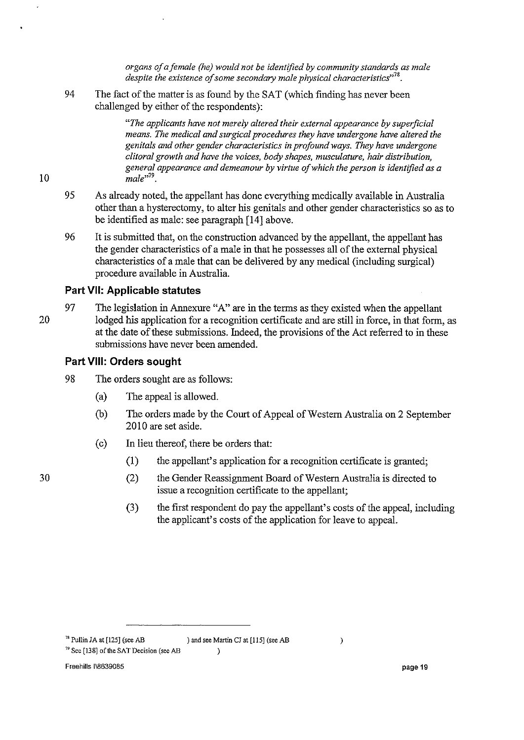*organs of a female (he) would not be identified by community standards as male despite the existence of some secondary male physical characteristics"".* 

94 The fact of the matter is as found by the SAT (which finding has never been challenged by either of the respondents):

> *"The applicants have not merely altered their external appearance by superficial means. The medical and surgical procedures they have undergone have altered the genitals and other gender characteristics* in *profound ways. They have undergone clitoral growth and have the voices, body shapes, musculature, hair distribution, general appearance and demeanour by virtue of which the person* is *identified as a*  **male,,79.**

- 95 As already noted, the appellant has done everything medically available in Australia other than a hysterectomy, to alter his genitals and other gender characteristics so as to be identified as male: see paragraph [14] above.
- 96 It is submitted that, on the construction advanced by the appellant, the appellant has the gender characteristics of a male in that he possesses all of the external physical characteristics of a male that can be delivered by any medical (including surgical) procedure available in Australia.

#### **Part VII: Applicable statutes**

97 The legislation in Annexure "A" are in the terms as they existed when the appellant 20 lodged his application for a recognition certificate and are still in force, in that form, as at the date of these submissions. Indeed, the provisions of the Act referred to in these submissions have never been amended.

#### **Part VIII: Orders sought**

- 98 The orders sought are as follows:
	- (a) The appeal is allowed.
	- (b) The orders made by the Court of Appeal of Western Australia on 2 September 2010 are set aside.
	- ( c) **In** lieu thereof, there be orders that:
		- (1) the appellant's application for a recognition certificate is granted;
		- (2) the Gender Reassignment Board of Western Australia is directed to issue a recognition certificate to the appellant;
		- (3) the first respondent do pay the appellant's costs of the appeal, including the applicant's costs of the application for leave to appeal.

**79 See [138]** of the **SAT Decision (see AB )** 

Freehills I\8639085 page 19

30

10

 $\lambda$ 

**<sup>78</sup> Pullin** *lA* **at [125J (see AB ) and see Martin** *Cl* **at [115] (see AB**